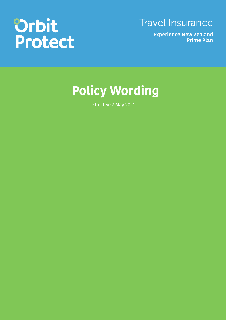# **Orbit<br>Protect**

Travel Insurance

**Experience New Zealand Prime Plan**

## **Policy Wording**

Effective 7 May 2021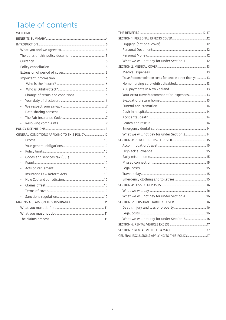## Table of contents

|  | ÷,             |                                               |  |  |  |  |
|--|----------------|-----------------------------------------------|--|--|--|--|
|  | $\frac{1}{2}$  |                                               |  |  |  |  |
|  | $\overline{a}$ |                                               |  |  |  |  |
|  |                |                                               |  |  |  |  |
|  |                |                                               |  |  |  |  |
|  |                | GENERAL CONDITIONS APPLYING TO THIS POLICY 10 |  |  |  |  |
|  |                |                                               |  |  |  |  |
|  | $\overline{a}$ |                                               |  |  |  |  |
|  |                |                                               |  |  |  |  |
|  |                |                                               |  |  |  |  |
|  | $\overline{a}$ |                                               |  |  |  |  |
|  |                |                                               |  |  |  |  |
|  |                |                                               |  |  |  |  |
|  |                |                                               |  |  |  |  |
|  |                |                                               |  |  |  |  |
|  | ÷              |                                               |  |  |  |  |
|  |                |                                               |  |  |  |  |
|  |                |                                               |  |  |  |  |
|  |                |                                               |  |  |  |  |
|  |                |                                               |  |  |  |  |
|  |                |                                               |  |  |  |  |
|  |                |                                               |  |  |  |  |

| What we will not pay for under Section 1 12             |  |  |  |  |
|---------------------------------------------------------|--|--|--|--|
|                                                         |  |  |  |  |
|                                                         |  |  |  |  |
| Travel/accommodation costs for people other than you 13 |  |  |  |  |
|                                                         |  |  |  |  |
|                                                         |  |  |  |  |
| Your extra travel/accommodation expenses 13             |  |  |  |  |
|                                                         |  |  |  |  |
|                                                         |  |  |  |  |
|                                                         |  |  |  |  |
|                                                         |  |  |  |  |
|                                                         |  |  |  |  |
|                                                         |  |  |  |  |
| What we will not pay for under Section 2 14             |  |  |  |  |
|                                                         |  |  |  |  |
|                                                         |  |  |  |  |
|                                                         |  |  |  |  |
|                                                         |  |  |  |  |
|                                                         |  |  |  |  |
|                                                         |  |  |  |  |
|                                                         |  |  |  |  |
|                                                         |  |  |  |  |
|                                                         |  |  |  |  |
|                                                         |  |  |  |  |
| What we will not pay for under Section 4 16             |  |  |  |  |
|                                                         |  |  |  |  |
|                                                         |  |  |  |  |
|                                                         |  |  |  |  |
| What we will not pay for under Section 5 16             |  |  |  |  |
|                                                         |  |  |  |  |
|                                                         |  |  |  |  |
|                                                         |  |  |  |  |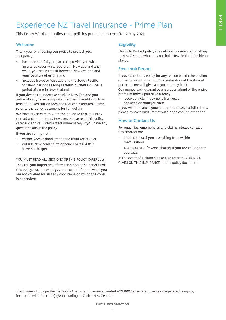## Experience NZ Travel Insurance - Prime Plan

This Policy Wording applies to all policies purchased on or after 7 May 2021

#### Welcome

Thank you for choosing **our** policy to protect **you**. This policy:

- has been carefully prepared to provide **you** with insurance cover while **you** are in New Zealand and while **you** are in transit between New Zealand and **your country of origin**, and
- includes travel to Australia and the **South Pacific** for short periods as long as **your journey** includes a period of time in New Zealand.

If **you** decide to undertake study in New Zealand **you** automatically receive important student benefits such as **loss** of unused tuition fees and reduced **excesses**. Please refer to the policy document for full details.

**We** have taken care to write the policy so that it is easy to read and understand. However, please read this policy carefully and call OrbitProtect immediately if **you** have any questions about the policy.

If **you** are calling from:

- within New Zealand, telephone 0800 478 833, or
- outside New Zealand, telephone +64 3 434 8151 (reverse charge).

#### YOU MUST READ ALL SECTIONS OF THIS POLICY CAREFULLY.

They tell **you** important information about the benefits of this policy, such as what **you** are covered for and what **you** are not covered for and any conditions on which the cover is dependent.

#### **Eligibility**

This OrbitProtect policy is available to everyone travelling to New Zealand who does not hold New Zealand Residence status.

#### Free Look Period

If **you** cancel this policy for any reason within the cooling off period which is within 7 calendar days of the date of purchase, **we** will give **you your** money back. **Our** money back guarantee ensures a refund of the entire

premium unless **you** have already:

- received a claim payment from **us**, or
- departed on **your journey**.

If **you** wish to cancel **your** policy and receive a full refund, please contact OrbitProtect within the cooling off period.

#### How to Contact Us

For enquiries, emergencies and claims, please contact OrbitProtect on:

- 0800 478 833 if **you** are calling from within New Zealand
- +64 3 434 8151 (reverse charge) if **you** are calling from overseas.

In the event of a claim please also refer to 'MAKING A CLAIM ON THIS INSURANCE' in this policy document.

The insurer of this product is Zurich Australian Insurance Limited ACN 000 296 640 (an overseas registered company incorporated in Australia) (ZAIL), trading as Zurich New Zealand.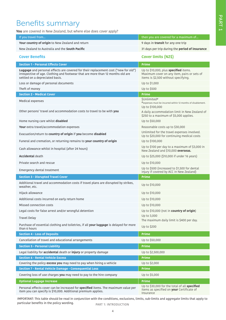## Benefits summary

**You** are covered in New Zealand, but where else does cover apply?

| If you travel from                                                                                                                                                                                        | then you are covered for a maximum of                                                                                        |
|-----------------------------------------------------------------------------------------------------------------------------------------------------------------------------------------------------------|------------------------------------------------------------------------------------------------------------------------------|
| Your country of origin to New Zealand and return                                                                                                                                                          | 9 days in transit for any one trip                                                                                           |
| New Zealand to Australia and the <b>South Pacific</b>                                                                                                                                                     | 31 days per trip during the period of insurance                                                                              |
| <b>Cover Benefits</b>                                                                                                                                                                                     | Cover limits (NZ\$)                                                                                                          |
| <b>Section 1 - Personal Effects Cover</b>                                                                                                                                                                 | <b>Prime</b>                                                                                                                 |
| Luggage and personal effects are covered for their replacement cost ("new for old")<br>irrespective of age. Clothing and footwear that are more than 12 months old are<br>settled on a depreciated basis. | Up to \$10,000, plus specified items.<br>Maximum cover on any item, pairs or sets of<br>items is \$2,500 without specifying. |
| Loss or damage of personal documents                                                                                                                                                                      | Up to \$1,000                                                                                                                |
| Theft of money                                                                                                                                                                                            | Up to \$500                                                                                                                  |
| <b>Section 2 - Medical Cover</b>                                                                                                                                                                          | <b>Prime</b>                                                                                                                 |
| Medical expenses                                                                                                                                                                                          | \$Unlimited#<br>#expenses must be incurred within 12 months of disablement.<br>Up to \$100,000                               |
| Other persons' travel and accommodation costs to travel to be with you                                                                                                                                    | A daily accommodation limit in New Zealand of<br>\$250 to a maximum of \$5,000 applies.                                      |
| Home nursing care whilst disabled                                                                                                                                                                         | Up to \$50,000                                                                                                               |
| Your extra travel/accommodation expenses                                                                                                                                                                  | Reasonable costs up to \$30,000                                                                                              |
| Evacuation/return to country of origin if you become disabled                                                                                                                                             | Unlimited for the travel expenses involved.<br>Up to \$20,000 for continuing medical costs                                   |
| Funeral and cremation, or returning remains to your country of origin                                                                                                                                     | Up to \$100,000                                                                                                              |
| Cash allowance whilst in hospital (after 24 hours)                                                                                                                                                        | Up to \$100 per day to a maximum of \$3,000 in<br>New Zealand and \$10,000 overseas.                                         |
| <b>Accidental death</b>                                                                                                                                                                                   | Up to \$25,000 (\$10,000 if under 16 years)                                                                                  |
| Private search and rescue                                                                                                                                                                                 | Up to \$10,000                                                                                                               |
| Emergency dental treatment                                                                                                                                                                                | Up to \$500 (increased to \$1,500 for dental<br>injury if covered by ACC in New Zealand)                                     |
| <b>Section 3 - Disrupted Travel Cover</b>                                                                                                                                                                 | <b>Prime</b>                                                                                                                 |
| Additional travel and accommodation costs if travel plans are disrupted by strikes,<br>weather, etc.                                                                                                      | Up to \$10,000                                                                                                               |
| Hijack allowance                                                                                                                                                                                          | Up to \$10,000                                                                                                               |
| Additional costs incurred on early return home                                                                                                                                                            | Up to \$10,000                                                                                                               |
| Missed connection costs                                                                                                                                                                                   | Up to \$10,000                                                                                                               |
| Legal costs for false arrest and/or wrongful detention                                                                                                                                                    | Up to \$10,000 (not in country of origin)                                                                                    |
| <b>Travel Delay</b>                                                                                                                                                                                       | Up to 3,000<br>The maximum daily limit is \$400 per day.                                                                     |
| Purchase of essential clothing and toiletries, if all your luggage is delayed for more<br>than 6 hours                                                                                                    | Up to \$200                                                                                                                  |
| <b>Section 4 - Loss of Deposits</b>                                                                                                                                                                       | <b>Prime</b>                                                                                                                 |
| Cancellation of travel and educational arrangements                                                                                                                                                       | Up to \$50,000                                                                                                               |
| <b>Section 5 - Personal Liability</b>                                                                                                                                                                     | <b>Prime</b>                                                                                                                 |
| Legal liability for accidental death or injury or property damage                                                                                                                                         | Up to \$2,500,000                                                                                                            |
| <b>Section 6 - Rental Vehicle Excess</b>                                                                                                                                                                  | Prime                                                                                                                        |
| Covering the policy excess you may need to pay when hiring a vehicle                                                                                                                                      | Up to \$2,000                                                                                                                |
| Section 7 - Rental Vehicle Damage - Consequential Loss                                                                                                                                                    | <b>Prime</b>                                                                                                                 |
| Covering loss of use charges you may need to pay to the hire company                                                                                                                                      | Up to \$5,000                                                                                                                |
| <b>Optional Luggage Increase</b>                                                                                                                                                                          | <b>Prime</b>                                                                                                                 |
| Personal effects cover can be increased for specified items. The maximum value per<br>item you can specify is \$10,000. Additional premium applies.                                                       | Up to \$30,000 for the total of all specified<br>items as specified on your Certificate of<br>Insurance                      |

PART 1: INTRODUCTION IMPORTANT: This table should be read in conjunction with the conditions, exclusions, limits, sub-limits and aggregate limits that apply to particular benefits in the policy wording.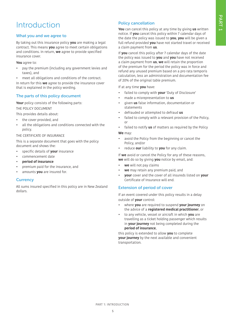## Introduction

#### What you and we agree to

By taking out this insurance policy **you** are making a legal contract. This means **you** agree to meet certain obligations and conditions. In return, **we** agree to provide specified insurance cover.

**You** agree to:

- pay the premium (including any government levies and taxes), and
- meet all obligations and conditions of the contract.

In return for this **we** agree to provide the insurance cover that is explained in the policy wording.

#### The parts of this policy document

**Your** policy consists of the following parts: THE POLICY DOCUMENT

This provides details about:

- the cover provided, and
- all the obligations and conditions connected with the policy.

#### THE CERTIFICATE OF INSURANCE

This is a separate document that goes with the policy document and shows the:

- specific details of **your** insurance
- commencement date
- **period of insurance**
- premium paid for the insurance, and
- amounts **you** are insured for.

#### **Currency**

All sums insured specified in this policy are in New Zealand dollars.

#### Policy cancellation

**You** can cancel this policy at any time by giving **us** written notice. If **you** cancel this policy within 7 calendar days of the date the policy was issued to **you**, **you** will be given a full refund provided **you** have not started travel or received a claim payment from **us**.

If **you** cancel this policy after 7 calendar days of the date the policy was issued to **you** and **you** have not received a claim payment from **us**, **we** will retain the proportion of the premium for the period the policy was in force and refund any unused premium based on a pro rata temporis calculation, less an administration and documentation fee of 20% of the original table premium.

If at any time **you** have:

- failed to comply with **your** 'Duty of Disclosure'
- made a misrepresentation to **us**
- given **us** false information, documentation or statements
- defrauded or attempted to defraud **us**
- failed to comply with a relevant provision of the Policy, or
- failed to notify **us** of matters as required by the Policy

#### **We** may:

- avoid the Policy from the beginning or cancel the Policy, and/or
- reduce **our** liability to **you** for any claim.

If **we** avoid or cancel the Policy for any of these reasons, **we** will do so by giving **you** notice by email, and:

- **we** will not pay claims
- **we** may retain any premium paid, and
- **your** cover and the cover of all insureds listed on **your**  Certificate of Insurance will end.

#### Extension of period of cover

If an event covered under this policy results in a delay outside of **your** control:

- where **you** are required to suspend **your journey** on the advice of a **registered medical practitioner**, or
- to any vehicle, vessel or aircraft in which **you** are travelling as a ticket holding passenger which results in **your journey** not being completed during the **period of insurance**,

this policy is extended to allow **you** to complete **your journey** by the next available and convenient transportation.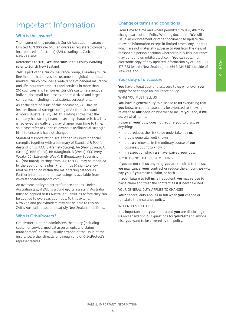## Important Information

#### Who is the insurer?

The insurer of this product is Zurich Australian Insurance Limited ACN 000 296 640 (an overseas registered company incorporated in Australia) (ZAIL), trading as Zurich New Zealand.

References to '**Us**', '**We**' and '**Our**' in this Policy Wording refer to Zurich New Zealand.

ZAIL is part of the Zurich Insurance Group, a leading multiline insurer that serves its customers in global and local markets. Zurich provides a wide range of general insurance and life insurance products and services in more than 210 countries and territories. Zurich's customers include individuals, small businesses, and mid-sized and large companies, including multinational corporations.

As at the date of issue of this document, ZAIL has an insurer financial strength rating of A+ from Standard & Poor's (Australia) Pty Ltd. This rating shows that the company has strong financial security characteristics. This is reviewed annually and may change from time to time, so please refer to zurich.co.nz/about-us/financial-strength. html to ensure it has not changed.

Standard & Poor's rating scale for an insurer's financial strength, together with a summary of Standard & Poor's description is: AAA (Extremely Strong), AA (Very Strong), A (Strong), BBB (Good), BB (Marginal), B (Weak), CCC (Very Weak), CC (Extremely Weak), R (Regulatory Supervision), NR (Not Rated). Ratings from 'AA' to 'CCC' may be modified by the addition of a plus  $(+)$  or minus  $(-)$  sign to show relative standing within the major rating categories. Further information on these ratings is available from www.standardandpoors.com.

An overseas policyholder preference applies. Under Australian law, if ZAIL is wound up, its assets in Australia must be applied to its Australian liabilities before they can be applied to overseas liabilities. To this extent, New Zealand policyholders may not be able to rely on ZAIL's Australian assets to satisfy New Zealand liabilities.

#### Who is OrbitProtect?

OrbitProtect Limited administers the policy (including customer service, medical assessments and claims management) and will usually arrange or the issue of the insurance, either directly or through one of OrbitProtect's representatives.

#### Change of terms and conditions

From time to time and where permitted by law, **we** may change parts of the Policy Wording document. **We** will issue an endorsement or other document to update the relevant information except in limited cases. Any updates which are not materially adverse to **you** from the view of reasonable person deciding whether to buy this insurance, may be found on orbitprotect.com. **You** can obtain an electronic copy of any updated information by calling 0800 478 833 (within New Zealand), or +64 3 434 8151 outside of New Zealand.

#### Your duty of disclosure

**You** have a legal duty of disclosure to **us** whenever **you** apply for or change an insurance policy.

WHAT YOU MUST TELL US

**You** have a general duty to disclose to **us** everything that **you** know, or could reasonably be expected to know, is relevant to **our** decision whether to insure **you** and, if **we** do, on what terms.

However, **your** duty does not require **you** to disclose anything:

- that reduces the risk to be undertaken by **us**
- that is generally well known
- that **we** know or, in the ordinary course of **our** business, ought to know, or
- in respect of which **we** have waived **your** duty.

IF YOU DO NOT TELL US SOMETHING

If **you** do not tell **us** anything **you** are required to tell **us**, **we** may cancel **your** contract or reduce the amount **we** will pay **you** if **you** make a claim, or both.

If **your** failure to tell **us** is fraudulent, **we** may refuse to pay a claim and treat the contract as if it never existed.

YOUR GENERAL DUTY APPLIES TO CHANGES

**Your** general duty applies in full when **you** change or reinstate the insurance policy.

WHO NEEDS TO TELL US

It is important that **you** understand **you** are disclosing to **us** and answering **our** questions for **yourself** and anyone else **you** want to be covered by the policy.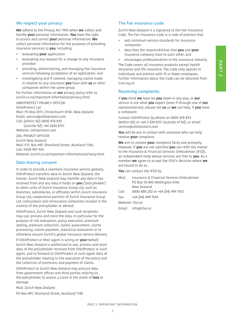## PART<sub>2</sub>

#### We respect your privacy

**We** adhere to the Privacy Act 1993 when **we** collect and handle **your** personal information. **You** have the right to access and correct **your** personal information. **We** collect personal information for the purposes of providing insurance services to **you**, including:

- evaluating **your** application
- evaluating any request for a change to any insurance provided
- providing, administering, and managing the insurance services following acceptance of an application, and
- investigating and if covered, managing claims made in relation to any insurance **you** have with **us** or other companies within the same group.

For further information on **our** privacy policy refer to zurich.co.nz/important-information/privacy.html

ORBITPROTECT PRIVACY OFFICER OrbitProtect Ltd Mail: PO Box 2011, Christchurch 8140, New Zealand Email: service@orbitprotect.com Call: (within NZ) 0800 478 833 (outside NZ) +64 3434 8151

Website: orbitprotect.com

ZAIL PRIVACY OFFICER Zurich New Zealand Mail: P.O. Box 497, Shortland Street, Auckland 1140, Call: 0508 987 424 Website: zurich.co.nz/important-information/privacy.html

#### Data sharing consent

In order to provide a seamless insurance service globally, OrbitProtect transfers data to Zurich New Zealand, the Insurer. Zurich New Zealand may transfer any data it has received from and any data it holds on **you** ('policyholder') to other units of Zurich Insurance Group Ltd, such as branches, subsidiaries, or affiliates within Zurich Insurance Group Ltd, cooperative partners of Zurich Insurance Group Ltd, coinsurance and reinsurance companies located in the country of the policyholder or abroad.

OrbitProtect, Zurich New Zealand and such recipients may use, process and store the data, in particular for the purpose of risk evaluation, policy execution, premium setting, premium collection, claims assessment, claims processing, claims payment, statistical evaluation or to otherwise ensure Zurich's global insurance service delivery.

If OrbitProtect or their agent is acting on **your** behalf, Zurich New Zealand is authorised to use, process and store data of the policyholder received from OrbitProtect or such agent, and to forward to OrbitProtect or such agent data of the policyholder relating to the execution of the policy and the collection of premiums and payment of claims.

OrbitProtect or Zurich New Zealand may procure data from government offices and third parties relating to the policyholder to assess a claim in the event of **loss** or damage.

Mail: Zurich New Zealand

PO Box 497, Shortland Street, Auckland 1140

#### The Fair insurance code

Zurich New Zealand is a signatory to the Fair Insurance Code. The Fair Insurance Code is a code of practice that:

- sets minimum service standards for insurance companies
- describes the responsibilities that **you** and **your** insurance company have to each other, and
- encourages professionalism in the insurance industry.

The Code covers all insurance products except health insurance and life insurance. The Code only applies to individuals and entities with 19 or fewer employees. Further information about the Code can be obtained from icnz.org.nz.

#### Resolving complaints

If **you** think **we** have let **you** down in any way, or **our** service is not what **you** expect (even if through one of **our** representatives), please tell **us** so **we** can help. If **you** have a complaint:

Contact OrbitProtect by phone on 0800 478 833 (within NZ) or +64 3 434 8151 (outside of NZ), or email service@orbitprotect.com

**You** will be put in contact with someone who can help resolve **your** complaint.

**We** aim to resolve **your** complaint fairly and promptly. However, if **you** are not satisfied **you** can refer the matter to the Insurance & Financial Services Ombudsman (IFSO), an independent body whose services are free to **you**. As a member **we** agree to accept the IFSO's decision where **we** are bound to do so.

**You** can contact the IFSO by:

- Mail: Insurance & Financial Services Ombudsman PO Box 10-845 Wellington 6143 New Zealand
- Call: 0800 888 202 or +64 (04) 499 7612
- Fax: +64 (04) 499 7614

Website: ifso.nz

Email: info@ifso.nz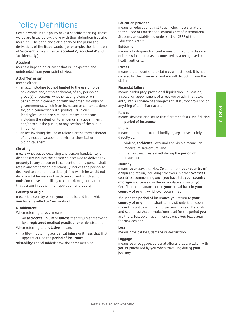## PART<sub>3</sub>

## Policy Definitions

Certain words in this policy have a specific meaning. These words are listed below, along with their definition (specific meaning). The definitions also apply to the plural and derivatives of the listed words, (for example, the definition of '**accident**' also applies to '**accidents**', '**accidental**' and '**accidentally**').

#### **Accident**

means a happening or event that is unexpected and unintended from **your** point of view.

#### **Act of Terrorism**

means either:

- an act, including but not limited to the use of force or violence and/or threat thereof, of any person or group(s) of persons, whether acting alone or on behalf of or in connection with any organisation(s) or government(s), which from its nature or context is done for, or in connection with, political, religious, ideological, ethnic or similar purposes or reasons, including the intention to influence any government and/or to put the public, or any section of the public in fear, or
- an act involving the use or release or the threat thereof of any nuclear weapon or device or chemical or biological agent.

#### **Cheating**

means whoever, by deceiving any person fraudulently or dishonestly induces the person so deceived to deliver any property to any person or to consent that any person shall retain any property or intentionally induces the person so deceived to do or omit to do anything which he would not do or omit if he were not so deceived, and which act or omission causes or is likely to cause damage or harm to that person in body, mind, reputation or property.

#### **Country of origin**

means the country where **your** home is, and from which **you** have travelled to New Zealand.

#### **Disablement**

When referring to **you**, means:

• an **accidental injury** or **illness** that requires treatment by a **registered medical practitioner** or dentist, and

When referring to a **relative**, means:

• a life-threatening **accidental injury** or **illness** that first appears during the **period of insurance**.

'**Disability**' and '**disabled**' have the same meaning.

#### **Education provider**

means an educational institution which is a signatory to the Code of Practice for Pastoral Care of International Students as established under section 238F of the Education Act 1989.

#### **Epidemic**

means a fast-spreading contagious or infectious disease or **illness** in an area as documented by a recognised public health authority.

#### **Excess**

means the amount of the claim **you** must meet. It is not covered by this insurance, and **we** will deduct it from the claim.

#### **Financial failure**

means bankruptcy, provisional liquidation, liquidation, insolvency, appointment of a receiver or administrator, entry into a scheme of arrangement, statutory provision or anything of a similar nature.

#### **Illness**

means sickness or disease that first manifests itself during the **period of insurance**.

#### **Injury**

means internal or external bodily **injury** caused solely and directly by:

- violent, **accidental**, external and visible means, or
- medical misadventure, and
- that first manifests itself during the **period of insurance**.

#### **Journey**

means **your** travel, to New Zealand from **your country of origin** and return, including stopovers in other **overseas** countries, commencing once **you** have left **your country of origin** and ceases on the expiry date shown on **your** Certificate of Insurance or on **your** arrival back in **your country of origin**, whichever occurs first.

If during the **period of insurance you** return to **your country of origin** for a short term visit only, then cover under this policy is limited to Section 4 Loss of Deposits and Section 3.1 Accommodation/travel for the period **you**  are there. Full cover recommences once **you** leave again for New Zealand.

#### **Loss**

means physical loss, damage or destruction.

#### **Luggage**

means **your** baggage, personal effects that are taken with **you** or purchased by **you** when travelling during **your journey**.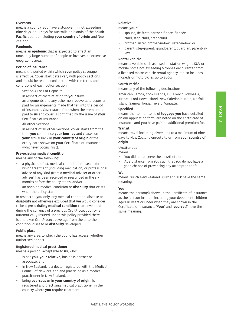#### **Overseas**

means a country **you** have a stopover in, not exceeding nine days, or 31 days for Australia or islands of the **South Pacific** but not including **your country of origin** and New Zealand.

#### **Pandemic**

means an **epidemic** that is expected to affect an unusually large number of people or involves an extensive geographic area.

#### **Period of insurance**

means the period within which **your** policy coverage is effective. Cover start dates vary with policy sections and should be read in conjunction with the terms and conditions of each policy section.

**•** Section 4 Loss of Deposits

In respect of costs relating to **your** travel arrangements and any other non recoverable deposits paid for arrangements made that fall into the period of insurance. Cover starts from when the premium is paid to **us** and cover is confirmed by the issue of **your** Certificate of Insurance.

**•** All other Sections

In respect of all other Sections, cover starts from the time **you** commence **your journey** and ceases on **your** arrival back in **your country of origin** or the expiry date shown on **your** Certificate of Insurance (whichever occurs first).

#### **Pre-existing medical condition**

means any of the following:

- a physical defect, medical condition or disease for which treatment (including medication) or professional advice of any kind (from a medical adviser or other adviser) has been received or prescribed in the six months before the policy starts, and/or
- an ongoing medical condition or **disability** that exists when the policy starts.

In respect to **you** only, any medical condition, disease or **disability** not otherwise excluded that **we** would consider to be a **pre-existing medical condition** that developed during the currency of a previous OrbitProtect policy is automatically insured under this policy provided there is unbroken OrbitProtect coverage from the date the condition, disease or **disability** developed.

#### **Public place**

means any area to which the public has access (whether authorised or not).

#### **Registered medical practitioner**

means a person, acceptable to **us**, who:

- is not **you**, **your relative**, business partner or associate, and
- in New Zealand, is a doctor registered with the Medical Council of New Zealand and practising as a medical practitioner in New Zealand, or
- being **overseas** or in **your country of origin**, is a registered and practising medical practitioner in the country where **you** require treatment.

#### **Relative**

#### means **your**:

- spouse, de facto partner, fiancé, fiancée
- child, step-child, grandchild
- brother, sister, brother-in-law, sister-in-law, or
- parent, step-parent, grandparent, guardian, parent-inlaw.

#### **Rental vehicle**

means a vehicle such as a sedan, station wagon, SUV or mobile home not exceeding 6 tonnes each, rented from a licensed motor vehicle rental agency. It also includes mopeds or motorcycles up to 200cc.

#### **South Pacific**

means any of the following destinations:

American Samoa, Cook Islands, Fiji, French Polynesia, Kiribati, Lord Howe Island, New Caledonia, Niue, Norfolk Island, Samoa, Tonga, Tuvalu, Vanuatu.

#### **Specified**

means the item or items of **luggage you** have detailed on our application form, are noted on the Certificate of Insurance and **you** have paid an additional premium for.

#### **Transit**

means travel including diversions to a maximum of nine days to New Zealand enroute to or from **your country of origin**.

#### **Unattended**

means:

- You did not observe the loss/theft, or
- At a distance from You such that You do not have a good chance of preventing any attempted theft.

#### **We**

means Zurich New Zealand. '**Our**' and '**us**' have the same meaning.

#### **You**

means the person(s) shown in the Certificate of Insurance as the 'person insured' including your dependent children aged 18 years or under when they are shown in the Certificate of Insurance. '**Your**' and '**yourself**' have the same meaning.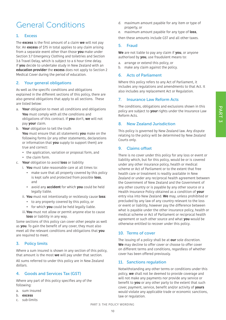## General Conditions

#### 1. Excess

The **excess** is the first amount of a claim **we** will not pay for. An **excess** of \$75 in total applies to any claim arising from a separate event other than those **you** make under Section 3.7 Emergency Clothing and toiletries and Section 3.6 Travel Delay, which is subject to a 6 hour time delay. If **you** decide to undertake study in New Zealand with an **education provider** the **excess** does not apply to Section 2 Medical Cover during the period of education.

#### 2. Your general obligations

As well as the specific conditions and obligations explained in the different sections of this policy, there are also general obligations that apply to all sections. These are listed below:

- a. **Your** obligation to meet all conditions and obligations **You** must comply with all the conditions and obligations of this contract. If **you** don't, **we** will not pay **your** claim.
- b. **Your** obligation to tell the truth **You** must ensure that all statements **you** make on the following forms (or any other statements, declarations or information that **you** supply to support them) are true and correct:
	- the application, variation or proposal form, and
	- the claim form.
- c. **Your** obligation to avoid **loss** or liability
	- i. **You** must take reasonable care at all times to:
		- make sure that all property covered by this policy is kept safe and protected from possible **loss**, and
		- avoid any **accident** for which **you** could be held legally liable.
	- ii. **You** must not intentionally or recklessly cause **loss**:
		- to any property covered by this policy, or
		- for which **you** could be held legally liable.
	- iii.**You** must not allow or permit anyone else to cause **loss** or liability in any way.

Some sections of this policy can cover other people as well as **you**. To gain the benefit of any cover, they must also meet all the relevant conditions and obligations that **you** are required to meet.

#### 3. Policy limits

Where a sum insured is shown in any section of this policy, that amount is the most **we** will pay under that section. All sums referred to under this policy are in New Zealand dollars.

#### 4. Goods and Services Tax (GST)

Where any part of this policy specifies any of the following:

- a. sum insured
- b. **excess**
- c. sub-limits
- d. maximum amount payable for any item or type of property, or
- e. maximum amount payable for any type of **loss**,

then these amounts include GST and all other taxes.

#### 5. Fraud

**We** are not liable to pay any claim if **you**, or anyone authorised by **you**, use fraudulent means to:

- a. arrange or extend this policy, or
- b. make any claim against the policy.

#### 6. Acts of Parliament

Where this policy refers to any Act of Parliament, it includes any regulations and amendments to that Act. It also includes any replacement Act or Regulation.

#### 7. Insurance Law Reform Acts

The conditions, obligations and exclusions shown in this policy are subject to **your** rights under the Insurance Law Reform Acts.

#### 8. New Zealand Jurisdiction

This policy is governed by New Zealand law. Any dispute relating to the policy will be determined by New Zealand Courts only.

#### 9. Claims offset

There is no cover under this policy for any loss or event or liability which, but for this policy, would be or is covered under any other insurance policy, health or medical scheme or Act of Parliament or to the extent that free health care or treatment is readily available in New Zealand or under any reciprocal health agreement between the Government of New Zealand and the Government of any other country or is payable by any other source or a Health Insurance Policy obtained as a condition of **your** entry visa into New Zealand. **We** may, unless prohibited or precluded by any law of any country relevant to the loss or event or liability, however pay the difference between what is payable under the other insurance policy, health or medical scheme or Act of Parliament or reciprocal health agreement or such other source and what **you** would be otherwise entitled to recover under this policy.

#### 10. Terms of cover

The issuing of a policy shall be at **our** sole discretion. **We** may decline to offer cover or choose to offer cover on different terms and conditions, regardless of whether cover has been offered previously.

#### 11. Sanctions regulation

Notwithstanding any other terms or conditions under this policy, **we** shall not be deemed to provide coverage and will not make any payments nor provide any service or benefit to **you** or any other party to the extent that such cover, payment, service, benefit and/or activity of **yours** would violate any applicable trade or economic sanctions, law or regulation.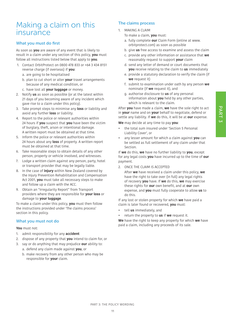### Making a claim on this insurance

#### What you must do first

As soon as **you** are aware of any event that is likely to result in a claim under any section of this policy, **you** must follow all instructions listed below that apply to **you**.

- 1. Contact OrbitProtect on 0800 478 833 or +64 3 434 8151 reverse charge (if overseas) if **you**:
	- a. are going to be hospitalised
	- b. plan to cut short or alter **your** travel arrangements because of any medical condition, or
	- c. have lost all **your luggage** or money.
- 2. Notify **us** as soon as possible (or at the latest within 21 days of you becoming aware of any incident which gave rise to a claim under this policy).
- 3. Take prompt steps to minimise any **loss** or liability and avoid any further **loss** or liability.
- 4. Report to the police or relevant authorities within 24 hours if **you** suspect that **you** have been the victim of burglary, theft, arson or intentional damage. A written report must be obtained at that time.
- 5. Inform the police or relevant authorities within 24 hours about any **loss** of property. A written report must be obtained at that time.
- 6. Take reasonable steps to obtain details of any other person, property or vehicle involved, and witnesses.
- 7. Lodge a written claim against any person, party, hotel or transport provider that may be legally liable.
- 8. In the case of **injury** within New Zealand covered by the Injury Prevention Rehabilitation and Compensation Act 2001, **you** must take all necessary steps to make and follow up a claim with the ACC.
- 9. Obtain an "Irregularity Report" from Transport providers where they are responsible for **your loss** or damage to **your luggage**.

To make a claim under this policy, **you** must then follow the instructions provided under 'The claims process' section in this policy.

#### What you must not do

#### **You** must not:

- 1. admit responsibility for any **accident**
- 2. dispose of any property that **you** intend to claim for, or
- 3. say or do anything that may prejudice **our** ability to: a. defend any claim made against **you**, or
	- b. make recovery from any other person who may be responsible for **your** claim.

#### The claims process

- 1. MAKING A CLAIM
	- To make a claim, **you** must:
	- a. fully complete **our** Claim Form (online at www. orbitprotect.com) as soon as possible
	- b. give **us** free access to examine and assess the claim
	- c. provide any other information or assistance that **we** reasonably request to support **your** claim
	- d. send any letter of demand or court documents that **you** receive relating to the claim to **us** immediately
	- e. provide a statutory declaration to verify the claim (if **we** request it)
	- f. submit to examination under oath by any person **we** nominate (if **we** request it), and
	- g. authorise disclosure to **us** of any personal information about **you** held by any other parties, which is relevant to the claim.

After **you** have made a claim, **we** have the sole right to act in **your** name and on **your** behalf to negotiate, defend or settle any liability. If **we** do this, it will be at **our** expense.

**We** may decide at any time to pay **you**:

- the total sum insured under 'Section 5 Personal Liability Cover', or
- any lesser amount for which a claim against **you** can be settled as full settlement of any claim under that Section.

If **we** do this, **we** have no further liability to **you**, except for any legal costs **you** have incurred up to the time of **our** payment.

2. ONCE THE CLAIM IS ACCEPTED

After **we** have received a claim under this policy, **we** have the right to take over (in full) any legal rights of recovery **you** have. If **we** do this, **we** may exercise these rights for **our** own benefit, and at **our** own expense, and **you** must fully cooperate to allow **us** to do this.

If any lost or stolen property for which **we** have paid a claim is later found or recovered, **you** must:

- tell **us** immediately, and
- return the property to **us** if **we** request it.

**We** have the right to keep any property for which **we** have paid a claim, including any proceeds of its sale.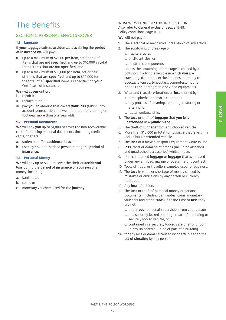## The Benefits

#### SECTION 1: PERSONAL EFFECTS COVER

#### **1.1 Luggage**

If **your luggage** suffers **accidental loss** during the **period of insurance we** will pay:

- a. up to a maximum of \$2,500 per item, set or pair of items that are not **specified**, and up to \$10,000 in total for all items that are not **specified**, and
- b. up to a maximum of \$10,000 per item, set or pair of items that are **specified**, and up to \$30,000 for the total of all **specified** items as specified on **your** Certificate of Insurance.

**We** will at **our** option:

- i. repair it
- ii. replace it, or
- iii. pay **you** an amount that covers **your loss** (taking into account depreciation and wear and tear for clothing or footwear more than one year old).

#### **1.2 Personal Documents**

**We** will pay **you** up to \$1,000 to cover the non-recoverable cost of replacing personal documents (including credit cards) that are:

a. stolen or suffer **accidental loss**, or

b. used by an unauthorised person during the **period of insurance**.

#### **1.3 Personal Money**

**We** will pay up to \$500 to cover the theft or **accidental loss** during the **period of insurance** of **your** personal money, including

- a. bank notes
- b. coins, or
- c. monetary vouchers used for the **journey**.

WHAT WE WILL NOT PAY FOR UNDER SECTION 1 Also refer to General exclusions page 17-18. Policy conditions page 10-11.

**We** will not pay for:

- 1. The electrical or mechanical breakdown of any article.
- 2. The scratching or breakage of:
	- a. fragile articles
	- b. brittle articles, or
	- c. electronic components

 unless the scratching or breakage is caused by a collision involving a vehicle in which **you** are travelling. (Note: this exclusion does not apply to spectacle lenses, binoculars, computers, mobile phones and photographic or video equipment).

- 3. Wear and tear, deterioration, or **loss** caused by: a. atmospheric or climatic conditions
	- b. any process of cleaning, repairing, restoring or altering, or
	- c. faulty workmanship.
- 4. The **loss** or theft of **luggage** that **you** leave **unattended** in a **public place**.
- 5. The theft of **luggage** from an unlocked vehicle.
- 6. More than \$10,000 in total for **luggage** that is left in a locked but **unattended** vehicle.
- 7. The **loss** of a bicycle or sports equipment while in use.
- 8. **loss**, theft or damage of drones (including attached and unattached accessories) whilst in use.
- 9. Unaccompanied **luggage** or **luggage** that is shipped under any air, road, marine or postal freight contract.
- 10. Tools of trade, or travellers samples used for business.
- 11. The **loss** in value or shortage of money caused by mistakes or omissions by any person or currency fluctuation.
- 12. Any **loss** of bullion.
- 13. The **loss** or theft of personal money or personal documents (including bank notes, coins, monetary vouchers and credit cards) if at the time of **loss** they are not:
	- a. under **your** personal supervision from your person
	- b. in a securely locked building or part of a building or securely locked vehicle, or
	- c. contained in a securely locked safe or strong room in any unlocked building or part of a building.
- 14. for any loss or damage caused by or attributed to the act of **cheating** by any person.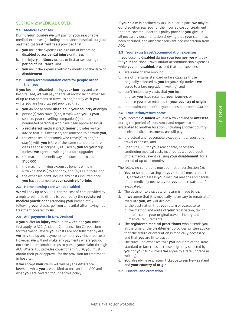#### SECTION 2: MEDICAL COVER

#### **2.1 Medical expenses**

During **your journey we** will pay for **your** reasonable medical expenses (including ambulance, hospital, surgical and medical treatment fees) provided that:

- a. **you** incur the expenses as a result of becoming **disabled** by **accidental injury** or **illness**
- b. the **injury** or **illness** occurs or first arises during the **period of insurance**, and
- c. **you** incur the expense within 12 months of the date of **disablement**.

#### **2.2 Travel/accommodation costs for people other than you**

If **you** become **disabled** during **your journey** and are hospitalised, **we** will pay the travel and/or living expenses of up to two persons to travel to and/or stay with **you** while **you** are hospitalised provided that:

- a. **you** do not become **disabled** in **your country of origin**
- b. person(s) who travel(s) to/stay(s) with **you** is **your** spouse, **your** travelling companion(s) or other nominated person(s) who have been approved by **us**
- c. a **registered medical practitioner** provides written advice that it is necessary for someone to be with **you**,
- d. the expenses of person(s) who travel(s) to and/or stay(s) with **you** is/are of the same standard or fare class as those originally utilised by **you** for **your** trip (unless **we** agree in writing to a fare upgrade)
- e. the maximum benefit payable does not exceed \$100,000
- f. the maximum living expenses benefit while in New Zealand is \$250 per day, and \$5,000 in total, and
- g. the expenses don't include any costs incurred once **you** have returned to **your country of origin**.

#### **2.3 Home nursing care whilst disabled**

**We** will pay up to \$50,000 for the cost of care provided by a registered nurse (if this is required by the **registered medical practitioner** attending **you**) immediately following **your** discharge from a hospital after having had treatment covered by **us**.

#### **2.4 ACC payments in New Zealand**

If **you** suffer an **injury** while in New Zealand **you** must first apply to ACC (Accident Compensation Corporation) for treatment. Where **your** costs are not fully met by ACC **we** may top up any payments to meet **your** incurred costs. However, **we** will not make any payments where **you** do not take all reasonable steps to pursue **your** claim through ACC. Where ACC provides cover for an **injury**, **you** must obtain their prior approval for the provision for treatment in hospital.

If **we** accept **your** claim **we** will pay the difference between what **you** are entitled to recover from ACC and what **you** are covered for under this policy.

If **your** claim is declined by ACC in all or in part, **we** may at **our** discretion pay **you** for the incurred cost of treatment that are covered under this policy provided **you** give **us** all necessary documentation showing that **your** claim has been declined, and any other relevant documentation from ACC.

#### **2.5 Your extra travel/accommodation expenses**

If **you** become **disabled** during **your journey**, **we** will pay for **your** additional travel and/or accommodation expenses while **you** are **disabled**, provided that the expenses:

- a. are a reasonable amount
- b. are of the same standard or fare class as those originally selected by **you** for **your** trip (unless **we** agree to a fare upgrade in writing), and
- c. don't include any costs that **you** incur:
	- i. after **you** have resumed **your journey**, or
	- ii. once **you** have returned to **your country of origin**
- d. the maximum benefit payable does not exceed \$30,000

#### **2.6 Evacuation/return home**

If **you** become **disabled** while in New Zealand or **overseas**, during the **period of insurance** and request to be evacuated to another location (including another country) to receive medical treatment, **we** will pay:

- a. the actual and reasonable evacuation transport and travel expenses, and
- b. up to \$20,000 for **your** reasonable, necessary continuing medical costs incurred as a direct result of the medical event causing **your disablement**, for a period of up to 12 months.

The following conditions must be met under Section 2.6:

- 1. **You**, or someone acting on **your** behalf, must contact **us**, so **we** can assess **your** medical reasons and decide if it is medically necessary for **you** to be repatriated/ evacuated.
- 2. The decision to evacuate or return is made by **us**.
- 3. If **we** agree that it is medically necessary to repatriate/ evacuate **you**, **we** will decide:
	- a. the destination that **you** return or evacuate to
	- b. the method and route of **your** repatriation, taking into account **your** original travel itinerary and medical requirements.
- 4. The **registered medical practitioner** who attends **you** at the time of the **disablement** provides written advice that the return or evacuation is medically necessary and that **you** are fit to travel.
- 5. The travelling expenses that **you** incur are of the same standard or fare class as those originally selected by **you** for **your** trip (unless **we** agree to a fare upgrade in writing).
- 6. **You** already have a return ticket between New Zealand and **your country of origin**.

#### **2.7 Funeral and cremation**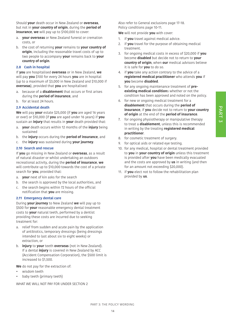Should **your** death occur in New Zealand or **overseas**, but not in **your country of origin**, during the **period of insurance**, **we** will pay up to \$100,000 to cover:

- a. **your overseas** or New Zealand funeral or cremation costs, or
- b. the cost of returning **your** remains to **your country of origin**, including the reasonable travel costs of up to two people to accompany **your** remains back to **your country of origin**.

#### **2.8 Cash in hospital**

If **you** are hospitalised **overseas** or in New Zealand, **we** will pay **you** \$100 for every 24 hours **you** are in hospital (up to a maximum of \$3,000 in New Zealand and \$10,000 if **overseas**), provided that **you** are hospitalised:

- a. because of a **disablement** that occurs or first arises during the **period of insurance**, and
- b. for at least 24 hours.

#### **2.9 Accidental death**

**We** will pay **your** estate \$25,000 (if **you** are aged 16 years or over) or \$10,000 (if **you** are aged under 16 years) if **you** sustain an **injury** that results in **your** death provided that:

- a. **your** death occurs within 12 months of the **injury** being sustained
- b. the **injury** occurs during the **period of insurance**, and
- c. the **injury** was sustained during **your journey**.

#### **2.10 Search and rescue**

If **you** go missing in New Zealand or **overseas**, as a result of natural disaster or whilst undertaking an outdoors recreational activity, during the **period of insurance**, **we** will contribute up to \$10,000 towards the cost of a private search for **you**, provided that:

- a. **your** next of kin asks for the search
- b. the search is approved by the local authorities, and
- c. the search begins within 72 hours of the official notification that **you** are missing.

#### **2.11 Emergency dental care**

During **your journey** to New Zealand **we** will pay up to \$500 for **your** reasonable emergency dental treatment costs to **your** natural teeth, performed by a dentist providing these costs are incurred due to seeking treatment for:

- a. relief from sudden and acute pain by the application of antibiotics, temporary dressings (being dressings intended to last about six to eight weeks) or extraction, or
- b. **injury** to **your** teeth **overseas** (not in New Zealand). If a dental **injury** is covered in New Zealand by ACC (Accident Compensation Corporation), the \$500 limit is increased to \$1,500.

**We** do not pay for the extraction of:

- wisdom teeth
- baby teeth (primary teeth)

WHAT WE WILL NOT PAY FOR UNDER SECTION 2

Also refer to General exclusions page 17-18. Policy conditions page 10-11.

**We** will not provide **you** with cover:

- 1. if **you** travel against medical advice.
- 2. if **you** travel for the purpose of obtaining medical treatment.
- 3. for ongoing medical costs in excess of \$20,000 if **you** become **disabled** but decide not to return to **your country of origin**, when **our** medical advisors believe it is safe for **you** to do so.
- 4. if **you** take any action contrary to the advice of a **registered medical practitioner** who attends **you** if **you** become **disabled**.
- 5. for any ongoing maintenance treatment of **preexisting medical condition**s whether or not the condition has been approved and noted on the policy.
- 6. for new or ongoing medical treatment for a **disablement** that occurs during the **period of insurance**, if **you** decide not to return to **your country of origin** at the end of the **period of insurance**.
- 7. for ongoing physiotherapy or manipulative therapy to treat a **disablement**, unless this is recommended in writing by the treating **registered medical practitioner**.
- 8. for cosmetic treatment of surgery.
- 9. for optical aids or related eye testing.
- 10. for any medical, hospital or dental treatment provided to **you** in **your country of origin** unless this treatment is provided after **you** have been medically evacuated and the costs are approved by **us** in writing (and then for an amount not exceeding \$20,000).
- 11. if **you** elect not to follow the rehabilitation plan provided by **us**.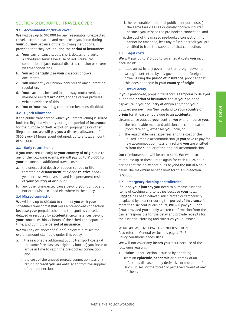#### SECTION 3: DISRUPTED TRAVEL COVER

#### **3.1 Accommodation/travel cover**

**We** will pay up to \$10,000 for any reasonable, unexpected travel, accommodation and meal costs **you** incur during **your journey** because of the following disruptions, provided that they occur during the **period of insurance**:

- a. **Your** carrier cancels, cuts short, delays, or diverts a scheduled service because of riot, strike, civil commotion, hijack, natural disaster, collision or severe weather conditions.
- b. **You accidentally** lose **your** passport or travel documents.
- c. **You** innocently or unknowingly breach any quarantine regulation.
- d. **Your** carrier is involved in a railway, motor vehicle, marine or aircraft **accident**, and the carrier provides written evidence of this.
- e. **You** or **Your** travelling companion becomes **disabled**.

#### **3.2 Hijack allowance**

If the public transport on which **you** are travelling is seized both forcibly and violently during the **period of insurance** for the purpose of theft, extortion, propaganda or other illegal reason, **we** will pay **you** a distress allowance of \$500 every 24 hours spent detained, up to a total amount of \$10,000.

#### **3.3 Early return home**

If **you** must return early to **your country of origin** due to any of the following events, **we** will pay up to \$10,000 for **your** reasonable, additional travel costs:

- a. the unexpected death or sudden serious or life threatening **disablement** of a close **relative** aged 70 years or less, who lives in, and is a permanent resident of **your country of origin**, or
- b. any other unexpected cause beyond **your** control and not otherwise excluded elsewhere in the policy.

#### **3.4 Missed connection**

**We** will pay up to \$10,000 to connect **you** with **your**  scheduled transport if **you** miss a pre-booked connection because **your** prepaid scheduled transport is cancelled, delayed or rerouted by **accidental** circumstances beyond **your** control, within 24 hours of the scheduled departure time, and during the **period of insurance**.

**We** will pay whichever of a) or b) below minimises the overall amount claimable under this policy:

- a. i. the reasonable additional public transport costs (at the same fare class as originally booked) **you** incur to arrive in time to catch the pre-booked connection, and
	- ii. the cost of the unused prepaid connection less any refund or credit **you** are entitled to from the supplier of that connection, or
- b. i. the reasonable additional public transport costs (at the same fare class as originally booked) incurred because **you** missed the pre-booked connection, and
	- ii. the cost of the missed pre-booked connection if it cannot be amended, less any refund or credit **you** are entitled to from the supplier of that connection.

#### **3.5 Legal costs**

**We** will pay up to \$10,000 to cover legal costs **you** incur because of:

- a. false arrest by any government or foreign power, or
- b. wrongful detention by any government or foreign power during the **period of insurance**, provided that this does not occur in **your country of origin**.

#### **3.6 Travel delay**

If **your** prebooked, prepaid transport is temporarily delayed during the **period of insurance** and at **your** point of departure in **your country of origin** and/or on **your** outward journey from New Zealand to **your country of origin** for at least 6 hours due to an **accidental** circumstance outside **your** control, **we** will reimburse **you**:

- a. the reasonable meal and additional accommodation (room rate only) expenses **you** incur, or
- b. the reasonable meal expenses and the cost of the unused, prepaid accommodation (if **you** have to pay for new accommodation) less any refund **you** are entitled to from the supplier of the original accommodation.

**Our** reimbursement will be up to \$400. **We** will also reimburse up to these limits again for each full 24 hour period that the delay continues beyond the initial 6 hour delay. The maximum benefit limit for this sub-section is \$3,000.

#### **3.7 Emergency clothing and toiletries**

If during **your journey you** need to purchase essential items of clothing and toiletries because **your** total **luggage** has been delayed, misdirected or temporarily misplaced by a carrier during the **period of insurance** for more than six continuous hours, **we** will pay **you** up to \$200, provided **you** supply written confirmation from the carrier responsible for the delay and provide receipts for the essential clothing and toiletries **you** purchase.

WHAT **WE** WILL NOT PAY FOR UNDER SECTION 3 Also refer to: General exclusions pages 17-18. Policy conditions pages 10-11.

**We** will not cover any **losses you** incur because of the following reasons:

1. claims under Section 3 caused by or arising from an **epidemic**, **pandemic** or outbreak of an infectious disease or any derivative or mutation of such viruses, or the threat or perceived threat of any of these.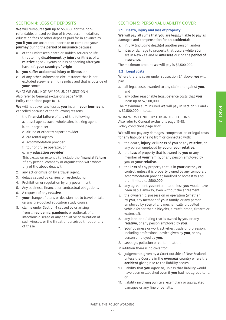## PART<sub>3</sub>

#### SECTION 4: LOSS OF DEPOSITS

**We** will reimburse **you** up to \$50,000 for the nonrefundable, unused portion of travel, accommodation, education fees or other deposits paid for in advance by **you** if **you** are unable to undertake or complete **your journey** during the **period of insurance** because:

- a. of the unforeseen death or sudden serious or life threatening **disablement** by **injury** or **illness** of a **relative** aged 70 years or less happening after **you** have left **your country of origin**
- b. **you** suffer **accidental injury** or **illness**, or
- c. of any other unforeseen circumstance that is not excluded elsewhere in this policy and that is outside of **your** control.

WHAT WE WILL NOT PAY FOR UNDER SECTION 4 Also refer to General exclusions page 17-18. Policy conditions page 10-11.

**We** will not cover any losses **you** incur if **your journey** is cancelled because of the following reasons:

- 1. the **financial failure** of any of the following:
	- a. travel agent, travel wholesaler, booking agent
	- b. tour organiser
	- c. airline or other transport provider
	- d. car rental agency
	- e. accommodation provider
	- f. tour or cruise operator, or
	- g. any **education provider**.

This exclusion extends to include the **financial failure**  of any person, company or organisation with whom any of the above deal with.

- 2. any act or omission by a travel agent.
- 3. delays caused by carriers or rescheduling.
- 4. Prohibition or regulation by any government.
- 5. Any business, financial or contractual obligations.
- 6. A request of any **relative**.
- 7. **your** change of plans or decision not to travel or take up any pre-booked education study course.
- 8. claims under Section 4 caused by or arising from an **epidemic**, **pandemic** or outbreak of an infectious disease or any derivative or mutation of such viruses, or the threat or perceived threat of any of these.

#### SECTION 5: PERSONAL LIABILITY COVER

#### **5.1 Death, injury and loss of property**

**We** will pay all sums that **you** are legally liable to pay as damages and compensation for an **accidental**:

- a. **injury** (including death)of another person, and/or
- b. **loss** or damage to property that occurs while **you** are in New Zealand or **overseas** during the **period of insurance**.

The maximum amount **we** will pay is \$2,500,000.

#### **5.2 Legal costs**

Where there is cover under subsection 5.1 above, **we** will pay:

- a. all legal costs awarded to any claimant against **you**, and
- b. any other reasonable legal defence costs that **you** incur up to \$2,500,000

The maximum sum insured **we** will pay in section 5.1 and 2 is \$2,500,000 in total.

WHAT WE WILL NOT PAY FOR UNDER SECTION 5 Also refer to General exclusions page 17-18. Policy conditions page 10-11.

**We** will not pay any damages, compensation or legal costs for any liability arising from or connected with:

- 1. the death, **injury**, or **illness** of **you** or any **relative**, or any person employed by **you** or **your relative**.
- 2. the **loss** of property that is owned by **you** or any member of **your** family, or any person employed by **you** or **your relative**.
- 3. the **loss** of any property that is in **your** custody or control, unless it is property owned by any temporary accommodation provider, landlord or homestay and then limited to \$500,000.
- 4. any agreement **you** enter into, unless **you** would have been liable anyway, even without the agreement.
- 5. the ownership, possession or operation (whether by **you**, any member of **your** family, or any person employed by **you**) of any mechanically propelled vehicle (other than a bicycle), aircraft, drone, firearm or watercraft.
- 6. any land or building that is owned by **you** or any **relative**, or any person employed by **you**.
- 7. **your** business or work activities, trade or profession, including professional advice given by **you**, or any person employed by **you**.
- 8. seepage, pollution or contamination.

In addition there is no cover for:

- 9. judgements given by a Court outside of New Zealand, unless the Court is in the **overseas** country where the **accident** giving rise to the liability occurs
- 10. liability that **you** agree to, unless that liability would have been established even if **you** had not agreed to it, or
- 11. liability involving punitive, exemplary or aggravated damages or any fine or penalty.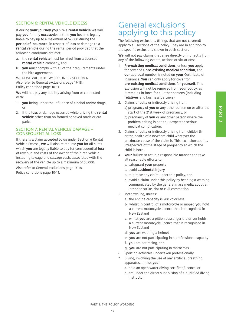#### SECTION 6: RENTAL VEHICLE EXCESS

If during **your journey you** hire a **rental vehicle we** will pay **you** for any **excess**/deductible **you** become legally liable to pay up to a maximum of \$2,000 during the **period of insurance**, in respect of **loss** or damage to a **rental vehicle** during the rental period provided that the following conditions are met:

- a. the **rental vehicle** must be hired from a licensed **rental vehicle** company, and
- b. **you** must comply with all of their requirements under the hire agreement.

WHAT WE WILL NOT PAY FOR UNDER SECTION 6 Also refer to General exclusions page 17-18. Policy conditions page 10-11.

**We** will not pay any liability arising from or connected with:

- 1. **you** being under the influence of alcohol and/or drugs, or
- 2. if the **loss** or damage occurred while driving the **rental vehicle** other than on formed or paved roads or car parks.

#### SECTION 7: RENTAL VEHICLE DAMAGE – CONSEQUENTIAL LOSS

If there is a claim accepted by **us** under Section 6 Rental Vehicle Excess , **we** will also reimburse **you** for all sums which **you** are legally liable to pay for consequential **loss** of revenue and costs of the owner of the hired vehicle including towage and salvage costs associated with the recovery of the vehicle up to a maximum of \$5,000.

Also refer to General exclusions page 17-18. Policy conditions page 10-11.

### General exclusions applying to this policy

The following exclusions (things that are not covered) apply to all sections of the policy. They are in addition to the specific exclusions shown in each section.

**We** will not pay claims that arise directly or indirectly from any of the following events, actions or situations:

- 1. **Pre-existing medical conditions**, unless **you** apply for cover of a **pre-existing medical condition**, and **our** approval number is noted on **your** Certificate of Insurance. **You** can only apply for cover for **pre-existing medical conditions** for **yourself**. This exclusion will not be removed from **your** policy, as it remains in force for all other persons (including **relatives** and business partners).
- 2. Claims directly or indirectly arising from:
	- a) pregnancy of **you** or any other person on or after the start of the 21st week of pregnancy, or
	- b) pregnancy of **you** or any other person where the problem arising is not an unexpected serious medical complication.
- 3. Claims directly or indirectly arising from childbirth or the health of a newborn child whatever the proximate cause of the claim is. This exclusion applies irrespective of the stage of pregnancy at which the child is born.
- 4. **Your** failure to act in a responsible manner and take all reasonable efforts to:
	- a. safeguard **your** property
	- b. avoid **accidental injury**
	- c. minimise any claim under this policy, and
	- d. avoid a claim under this policy by heeding a warning communicated by the general mass media about an intended strike, riot or civil commotion.
- 5. Motorcycling, unless:
	- a. the engine capacity is 200 cc or less
	- b. whilst in control of a motorcycle or moped **you** hold a current motorcycle licence that is recognised in New Zealand
	- c. whilst **you** are a pillion passenger the driver holds a current motorcycle licence that is recognised in New Zealand
	- d. **you** are wearing a helmet
	- e. **you** are not participating in a professional capacity
	- f. **you** are not racing, and
	- g. **you** are not participating in motocross.
- 6. Sporting activities undertaken professionally.
- 7. Diving, involving the use of any artificial breathing apparatus, unless **you**:
	- a. hold an open water diving certificte/licence, or
	- b. are under the direct supervision of a qualified diving instructor.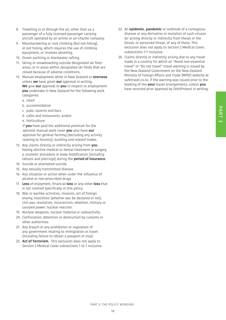- 8. Travelling in or through the air, other than as a passenger of a fully licensed passenger carrying aircraft operated by an airline or air-charter company.
- 9. Mountaineering or rock climbing (but not hiking), or pot holing, which requires the use of climbing equipment, or involves abseiling.
- 10. Ocean yachting or blackwater rafting.
- 11. Skiing or snowboarding outside designated ski field areas, or in areas within designated ski fields that are closed because of adverse conditions.
- 12. Manual employment while in New Zealand or **overseas** unless **we** have given **our** approval in writing. **We** give **our** approval to **you** in respect to employment **you** undertake in New Zealand for the following work categories:
	- a. retail
	- b. accommodation
	- c. pubs, taverns and bars
	- d. cafes and restaurants, and/or
	- e. horticulture.

If **you** have paid the additional premium for the optional manual work cover **you** also have **our** approval for general farming (excluding any activity relating to forestry), building and related trades.

- 13. Any claims directly or indirectly arising from **you** having elective medical or dental treatment or surgery, a cosmetic procedure or body modification (including tattoos and piercings) during the **period of insurance**.
- 14. Suicide or attempted suicide.
- 15. Any sexually transmitted disease.
- 16. Any situation or action when under the influence of alcohol or non-prescribed drugs.
- 17. **Loss** of enjoyment, financial **loss** or any other **loss** that is not covered specifically in this policy.
- 18. War or warlike activities, invasion, act of foreign enemy, hostilities (whether war be declared or not), civil war, revolution, insurrection, rebellion, military or usurped power; nuclear reaction.
- 19. Nuclear weapons, nuclear material or radioactivity.
- 20. Confiscation, detention or destruction by customs or other authorities.
- 21. Any breach or any prohibition or regulation of any government relating to immigration or travel (including failure to obtain a passport or visa).
- 22. **Act of Terrorism**. This exclusion does not apply to Section 2 Medical Cover subsections 1 to 7 inclusive.
- 23. An **epidemic**, **pandemic** or outbreak of a contagious disease or any derivative or mutation of such viruses (or arising directly or indirectly from these) or the threat, or perceived threat, of any of these. This exclusion does not apply to Section 2 Medical Cover, subsections 1-7 inclusive.
- 24. Claims directly or indirectly arising due to any travel made in a country for which an "Avoid non-essential travel" or "Do not travel" travel warning is issued by the New Zealand Government on the New Zealand Ministry of Foreign Affairs and Trade (MFAT) website at safetravel.co.nz, if the warning was issued prior to the booking of the **your** travel arrangements, unless **you** have received prior approval by OrbitProtect in writing.